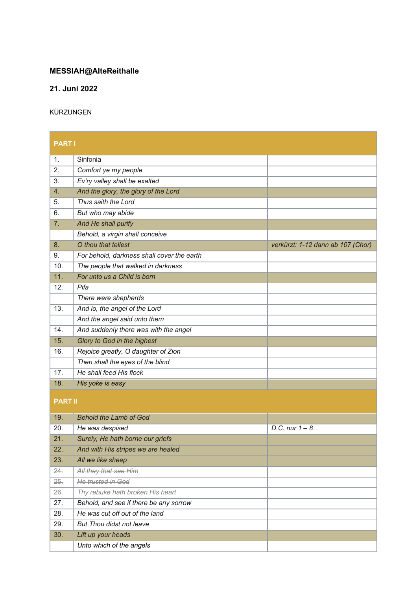## **MESSIAH@AlteReithalle**

29. *But Thou didst not leave* 30. *Lift up your heads*

*Unto which of the angels*

## **21. Juni 2022**

## KÜRZUNGEN

| <b>PARTI</b>   |                                            |                                   |  |  |
|----------------|--------------------------------------------|-----------------------------------|--|--|
| 1.             | Sinfonia                                   |                                   |  |  |
| 2.             | Comfort ye my people                       |                                   |  |  |
| 3.             | Ev'ry valley shall be exalted              |                                   |  |  |
| 4.             | And the glory, the glory of the Lord       |                                   |  |  |
| 5.             | Thus saith the Lord                        |                                   |  |  |
| 6.             | But who may abide                          |                                   |  |  |
| 7.             | And He shall purify                        |                                   |  |  |
|                | Behold, a virgin shall conceive            |                                   |  |  |
| 8.             | O thou that tellest                        | verkürzt: 1-12 dann ab 107 (Chor) |  |  |
| 9.             | For behold, darkness shall cover the earth |                                   |  |  |
| 10.            | The people that walked in darkness         |                                   |  |  |
| 11.            | For unto us a Child is born                |                                   |  |  |
| 12.            | Pifa                                       |                                   |  |  |
|                | There were shepherds                       |                                   |  |  |
| 13.            | And lo, the angel of the Lord              |                                   |  |  |
|                | And the angel said unto them               |                                   |  |  |
| 14.            | And suddenly there was with the angel      |                                   |  |  |
| 15.            | Glory to God in the highest                |                                   |  |  |
| 16.            | Rejoice greatly, O daughter of Zion        |                                   |  |  |
|                | Then shall the eyes of the blind           |                                   |  |  |
| 17.            | He shall feed His flock                    |                                   |  |  |
| 18.            | His yoke is easy                           |                                   |  |  |
| <b>PART II</b> |                                            |                                   |  |  |
| 19.            | <b>Behold the Lamb of God</b>              |                                   |  |  |
| 20.            | He was despised                            | D.C. nur $1 - 8$                  |  |  |
| 21.            | Surely, He hath borne our griefs           |                                   |  |  |
| 22.            | And with His stripes we are healed         |                                   |  |  |
| 23.            | All we like sheep                          |                                   |  |  |
| 24.            | All they that see Him                      |                                   |  |  |
| 25.            | He trusted in God                          |                                   |  |  |
| 26.            | Thy rebuke hath broken His heart           |                                   |  |  |
| 27.            | Behold, and see if there be any sorrow     |                                   |  |  |
| 28.            | He was cut off out of the land             |                                   |  |  |